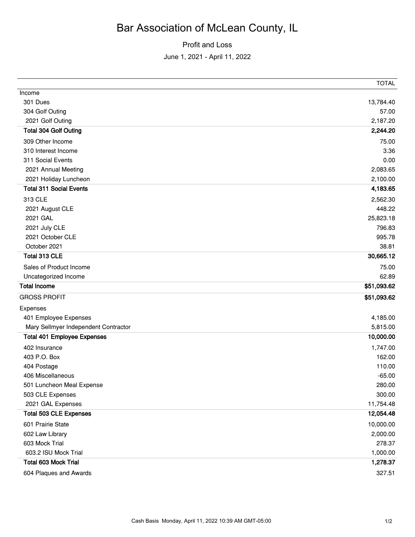## Bar Association of McLean County, IL

Profit and Loss

June 1, 2021 - April 11, 2022

|                                      | <b>TOTAL</b> |
|--------------------------------------|--------------|
| Income                               |              |
| 301 Dues                             | 13,784.40    |
| 304 Golf Outing                      | 57.00        |
| 2021 Golf Outing                     | 2,187.20     |
| <b>Total 304 Golf Outing</b>         | 2,244.20     |
| 309 Other Income                     | 75.00        |
| 310 Interest Income                  | 3.36         |
| 311 Social Events                    | 0.00         |
| 2021 Annual Meeting                  | 2,083.65     |
| 2021 Holiday Luncheon                | 2,100.00     |
| <b>Total 311 Social Events</b>       | 4,183.65     |
| 313 CLE                              | 2,562.30     |
| 2021 August CLE                      | 448.22       |
| 2021 GAL                             | 25,823.18    |
| 2021 July CLE                        | 796.83       |
| 2021 October CLE                     | 995.78       |
| October 2021                         | 38.81        |
| Total 313 CLE                        | 30,665.12    |
| Sales of Product Income              | 75.00        |
| Uncategorized Income                 | 62.89        |
| <b>Total Income</b>                  | \$51,093.62  |
| <b>GROSS PROFIT</b>                  | \$51,093.62  |
| Expenses                             |              |
| 401 Employee Expenses                | 4,185.00     |
| Mary Sellmyer Independent Contractor | 5,815.00     |
| <b>Total 401 Employee Expenses</b>   | 10,000.00    |
| 402 Insurance                        | 1,747.00     |
| 403 P.O. Box                         | 162.00       |
| 404 Postage                          | 110.00       |
| 406 Miscellaneous                    | $-65.00$     |
| 501 Luncheon Meal Expense            | 280.00       |
| 503 CLE Expenses                     | 300.00       |
| 2021 GAL Expenses                    | 11,754.48    |
| <b>Total 503 CLE Expenses</b>        | 12,054.48    |
| 601 Prairie State                    | 10,000.00    |
| 602 Law Library                      | 2,000.00     |
| 603 Mock Trial                       | 278.37       |
| 603.2 ISU Mock Trial                 | 1,000.00     |
| <b>Total 603 Mock Trial</b>          | 1,278.37     |
| 604 Plaques and Awards               | 327.51       |
|                                      |              |